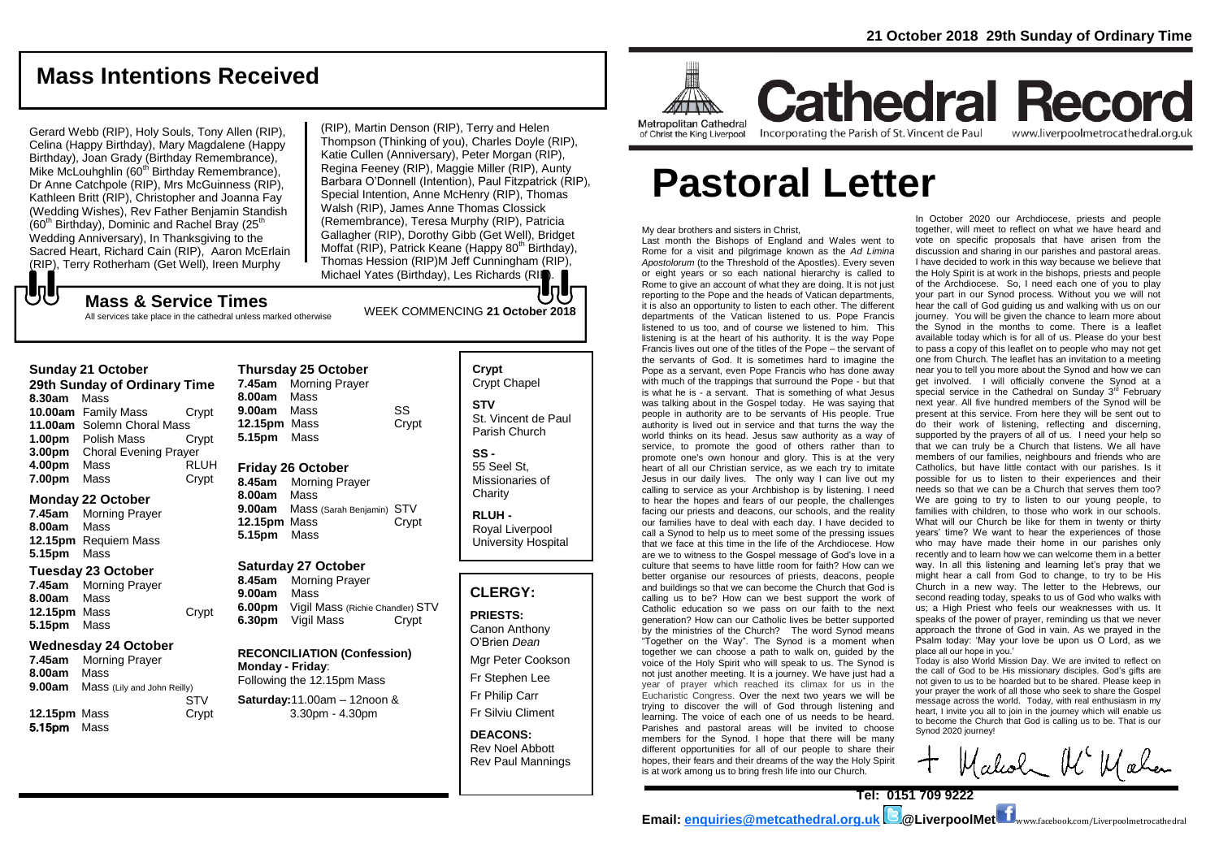## **Mass Intentions Received**

Gerard Webb (RIP), Holy Souls, Tony Allen (RIP), Celina (Happy Birthday), Mary Magdalene (Happy Birthday), Joan Grady (Birthday Remembrance), Mike McLouhghlin (60<sup>th</sup> Birthday Remembrance), Dr Anne Catchpole (RIP), Mrs McGuinness (RIP), Kathleen Britt (RIP), Christopher and Joanna Fay (Wedding Wishes), Rev Father Benjamin Standish  $(60<sup>th</sup>$  Birthday), Dominic and Rachel Bray  $(25<sup>th</sup>$ Wedding Anniversary), In Thanksgiving to the Sacred Heart, Richard Cain (RIP), Aaron McErlain (RIP), Terry Rotherham (Get Well), Ireen Murphy

All services take place in the cathedral unless marked otherwise

(RIP), Martin Denson (RIP), Terry and Helen Thompson (Thinking of you), Charles Doyle (RIP), Katie Cullen (Anniversary), Peter Morgan (RIP), Regina Feeney (RIP), Maggie Miller (RIP), Aunty Barbara O'Donnell (Intention), Paul Fitzpatrick (RIP), Special Intention, Anne McHenry (RIP), Thomas Walsh (RIP), James Anne Thomas Clossick (Remembrance), Teresa Murphy (RIP), Patricia Gallagher (RIP), Dorothy Gibb (Get Well), Bridget Moffat (RIP), Patrick Keane (Happy  $80<sup>th</sup>$  Birthday), Thomas Hession (RIP)M Jeff Cunningham (RIP), Michael Yates (Birthday), Les Richards (RIP).

でし

**Sunday 21 October 29th Sunday of Ordinary Time 8.30am** Mass **10.00am** Family Mass Crypt **11.00am** Solemn Choral Mass **1.00pm** Polish Mass Crypt **3.00pm** Choral Evening Prayer **4.00pm** Mass RLUH **7.00pm** Mass Crypt

### **Monday 22 October**

**7.45am** Morning Prayer **8.00am** Mass **12.15pm** Requiem Mass **5.15pm** Mass

### **Tuesday 23 October**

**7.45am** Morning Prayer **8.00am** Mass **12.15pm** Mass Crypt **5.15pm** Mass

### **Wednesday 24 October**

**7.45am** Morning Prayer **8.00am** Mass **9.00am** Mass (Lily and John Reilly) **STV 12.15pm** Mass Crypt 5.15pm Mass

### **Thursday 25 October 7.45am** Morning Prayer **8.00am** Mass **9.00am** Mass SS

WEEK COMMENCING **21 October <sup>2018</sup> Mass & Service Times**

**12.15pm** Mass Crypt **5.15pm** Mass

### **Friday 26 October**

**8.45am** Morning Prayer **8.00am** Mass **9.00am** Mass (Sarah Benjamin) STV **12.15pm** Mass **Crypt 5.15pm** Mass

### **Saturday 27 October**

**8.45am** Morning Prayer **9.00am** Mass **6.00pm** Vigil Mass (Richie Chandler) STV **6.30pm** Vigil Mass Crypt

### **RECONCILIATION (Confession) Monday - Friday**:

Following the 12.15pm Mass **Saturday:**11.00am – 12noon & 3.30pm - 4.30pm

### **Crypt**  Crypt Chapel **STV** St. Vincent de Paul Parish Church

**SS -** 55 Seel St, Missionaries of **Charity** 

**RLUH -** Royal Liverpool University Hospital

### **CLERGY:**

### **PRIESTS:**

Canon Anthony O'Brien *Dean*

Mgr Peter Cookson

Fr Stephen Lee

Fr Philip Carr Fr Silviu Climent

## **DEACONS:**

Rev Noel Abbott Rev Paul Mannings



## **Cathedral Record** Incorporating the Parish of St. Vincent de Paul www.liverpoolmetrocathedral.org.uk

of Christ the King Liverpool

# **Pastoral Letter**

My dear brothers and sisters in Christ,

Last month the Bishops of England and Wales went to Rome for a visit and pilgrimage known as the *Ad Limina Apostolorum* (to the Threshold of the Apostles). Every seven or eight years or so each national hierarchy is called to Rome to give an account of what they are doing. It is not just reporting to the Pope and the heads of Vatican departments, it is also an opportunity to listen to each other. The different departments of the Vatican listened to us. Pope Francis listened to us too, and of course we listened to him. This listening is at the heart of his authority. It is the way Pope Francis lives out one of the titles of the Pope – the servant of the servants of God. It is sometimes hard to imagine the Pope as a servant, even Pope Francis who has done away with much of the trappings that surround the Pope - but that is what he is - a servant. That is something of what Jesus was talking about in the Gospel today. He was saying that people in authority are to be servants of His people. True authority is lived out in service and that turns the way the world thinks on its head. Jesus saw authority as a way of service, to promote the good of others rather than to promote one's own honour and glory. This is at the very heart of all our Christian service, as we each try to imitate Jesus in our daily lives. The only way I can live out my calling to service as your Archbishop is by listening. I need to hear the hopes and fears of our people, the challenges facing our priests and deacons, our schools, and the reality our families have to deal with each day. I have decided to call a Synod to help us to meet some of the pressing issues that we face at this time in the life of the Archdiocese. How are we to witness to the Gospel message of God's love in a culture that seems to have little room for faith? How can we better organise our resources of priests, deacons, people and buildings so that we can become the Church that God is calling us to be? How can we best support the work of Catholic education so we pass on our faith to the next generation? How can our Catholic lives be better supported by the ministries of the Church? The word Synod means "Together on the Way". The Synod is a moment when together we can choose a path to walk on, guided by the voice of the Holy Spirit who will speak to us. The Synod is not just another meeting. It is a journey. We have just had a year of prayer which reached its climax for us in the Eucharistic Congress. Over the next two years we will be trying to discover the will of God through listening and learning. The voice of each one of us needs to be heard. Parishes and pastoral areas will be invited to choose members for the Synod. I hope that there will be many different opportunities for all of our people to share their hopes, their fears and their dreams of the way the Holy Spirit is at work among us to bring fresh life into our Church.

In October 2020 our Archdiocese, priests and people together, will meet to reflect on what we have heard and vote on specific proposals that have arisen from the discussion and sharing in our parishes and pastoral areas. I have decided to work in this way because we believe that the Holy Spirit is at work in the bishops, priests and people of the Archdiocese. So, I need each one of you to play your part in our Synod process. Without you we will not hear the call of God guiding us and walking with us on our journey. You will be given the chance to learn more about the Synod in the months to come. There is a leaflet available today which is for all of us. Please do your best to pass a copy of this leaflet on to people who may not get one from Church. The leaflet has an invitation to a meeting near you to tell you more about the Synod and how we can get involved. I will officially convene the Synod at a special service in the Cathedral on Sunday  $3^{rd}$  February next year. All five hundred members of the Synod will be present at this service. From here they will be sent out to do their work of listening, reflecting and discerning, supported by the prayers of all of us. I need your help so that we can truly be a Church that listens. We all have members of our families, neighbours and friends who are Catholics, but have little contact with our parishes. Is it possible for us to listen to their experiences and their needs so that we can be a Church that serves them too? We are going to try to listen to our young people, to families with children, to those who work in our schools. What will our Church be like for them in twenty or thirty years' time? We want to hear the experiences of those who may have made their home in our parishes only recently and to learn how we can welcome them in a better way. In all this listening and learning let's pray that we might hear a call from God to change, to try to be His Church in a new way. The letter to the Hebrews, our second reading today, speaks to us of God who walks with us; a High Priest who feels our weaknesses with us. It speaks of the power of prayer, reminding us that we never approach the throne of God in vain. As we prayed in the Psalm today: 'May your love be upon us O Lord, as we place all our hope in you.'

Today is also World Mission Day. We are invited to reflect on the call of God to be His missionary disciples. God's gifts are not given to us to be hoarded but to be shared. Please keep in your prayer the work of all those who seek to share the Gospel message across the world. Today, with real enthusiasm in my heart, I invite you all to join in the journey which will enable us to become the Church that God is calling us to be. That is our Synod 2020 journey!

Walcolm MC Walen

 $\textbf{Email:}\ \frac{\textbf{enquities} @metcathedral.org.uk} {\color{red} \blacktriangleleft \textbf{Q} } \textbf{LiverpoolMet} {\color{red} \blacktriangleleft \textbf{w}}_{\text{www.facebook.com/Liverpoolmetrocathedral}}$ 

**Tel: 0151 709 9222**